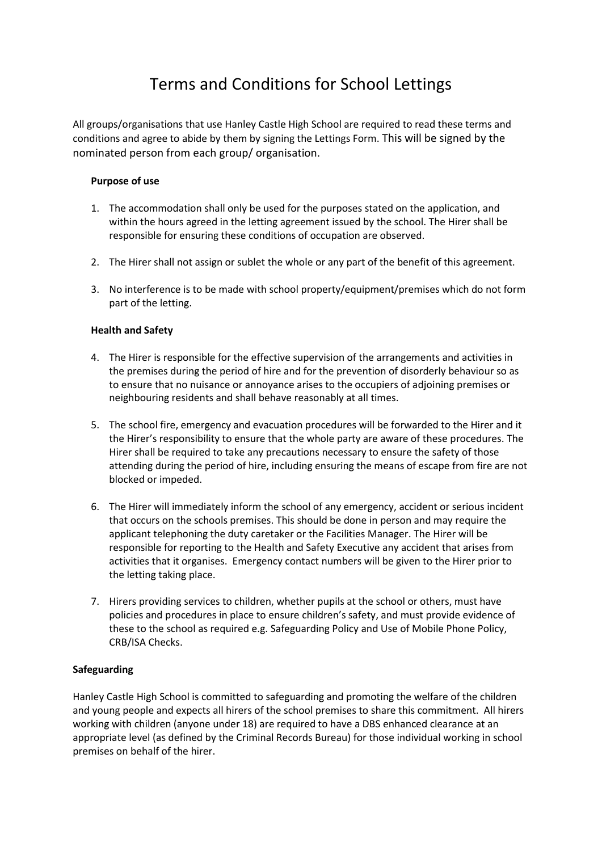# Terms and Conditions for School Lettings

All groups/organisations that use Hanley Castle High School are required to read these terms and conditions and agree to abide by them by signing the Lettings Form. This will be signed by the nominated person from each group/ organisation.

## **Purpose of use**

- 1. The accommodation shall only be used for the purposes stated on the application, and within the hours agreed in the letting agreement issued by the school. The Hirer shall be responsible for ensuring these conditions of occupation are observed.
- 2. The Hirer shall not assign or sublet the whole or any part of the benefit of this agreement.
- 3. No interference is to be made with school property/equipment/premises which do not form part of the letting.

## **Health and Safety**

- 4. The Hirer is responsible for the effective supervision of the arrangements and activities in the premises during the period of hire and for the prevention of disorderly behaviour so as to ensure that no nuisance or annoyance arises to the occupiers of adjoining premises or neighbouring residents and shall behave reasonably at all times.
- 5. The school fire, emergency and evacuation procedures will be forwarded to the Hirer and it the Hirer's responsibility to ensure that the whole party are aware of these procedures. The Hirer shall be required to take any precautions necessary to ensure the safety of those attending during the period of hire, including ensuring the means of escape from fire are not blocked or impeded.
- 6. The Hirer will immediately inform the school of any emergency, accident or serious incident that occurs on the schools premises. This should be done in person and may require the applicant telephoning the duty caretaker or the Facilities Manager. The Hirer will be responsible for reporting to the Health and Safety Executive any accident that arises from activities that it organises. Emergency contact numbers will be given to the Hirer prior to the letting taking place.
- 7. Hirers providing services to children, whether pupils at the school or others, must have policies and procedures in place to ensure children's safety, and must provide evidence of these to the school as required e.g. Safeguarding Policy and Use of Mobile Phone Policy, CRB/ISA Checks.

### **Safeguarding**

Hanley Castle High School is committed to safeguarding and promoting the welfare of the children and young people and expects all hirers of the school premises to share this commitment. All hirers working with children (anyone under 18) are required to have a DBS enhanced clearance at an appropriate level (as defined by the Criminal Records Bureau) for those individual working in school premises on behalf of the hirer.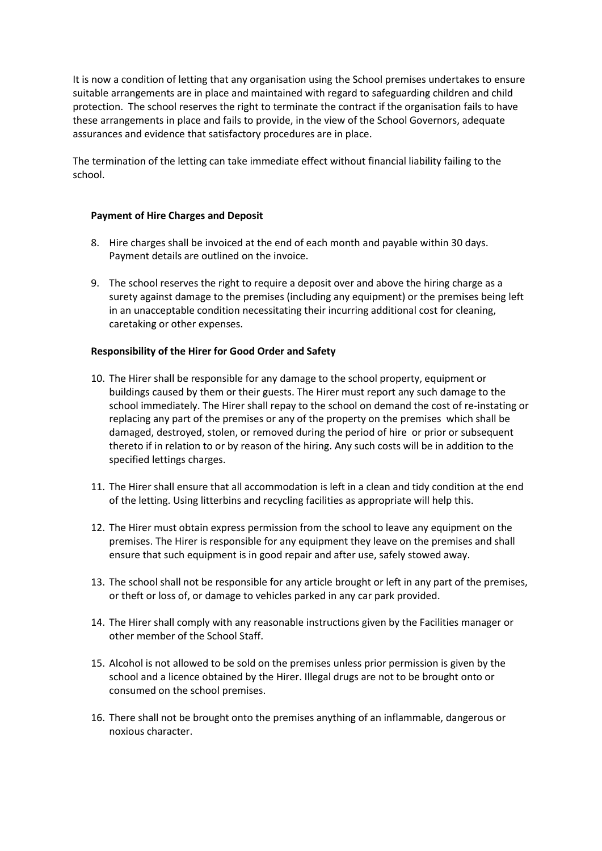It is now a condition of letting that any organisation using the School premises undertakes to ensure suitable arrangements are in place and maintained with regard to safeguarding children and child protection. The school reserves the right to terminate the contract if the organisation fails to have these arrangements in place and fails to provide, in the view of the School Governors, adequate assurances and evidence that satisfactory procedures are in place.

The termination of the letting can take immediate effect without financial liability failing to the school.

### **Payment of Hire Charges and Deposit**

- 8. Hire charges shall be invoiced at the end of each month and payable within 30 days. Payment details are outlined on the invoice.
- 9. The school reserves the right to require a deposit over and above the hiring charge as a surety against damage to the premises (including any equipment) or the premises being left in an unacceptable condition necessitating their incurring additional cost for cleaning, caretaking or other expenses.

#### **Responsibility of the Hirer for Good Order and Safety**

- 10. The Hirer shall be responsible for any damage to the school property, equipment or buildings caused by them or their guests. The Hirer must report any such damage to the school immediately. The Hirer shall repay to the school on demand the cost of re-instating or replacing any part of the premises or any of the property on the premises which shall be damaged, destroyed, stolen, or removed during the period of hire or prior or subsequent thereto if in relation to or by reason of the hiring. Any such costs will be in addition to the specified lettings charges.
- 11. The Hirer shall ensure that all accommodation is left in a clean and tidy condition at the end of the letting. Using litterbins and recycling facilities as appropriate will help this.
- 12. The Hirer must obtain express permission from the school to leave any equipment on the premises. The Hirer is responsible for any equipment they leave on the premises and shall ensure that such equipment is in good repair and after use, safely stowed away.
- 13. The school shall not be responsible for any article brought or left in any part of the premises, or theft or loss of, or damage to vehicles parked in any car park provided.
- 14. The Hirer shall comply with any reasonable instructions given by the Facilities manager or other member of the School Staff.
- 15. Alcohol is not allowed to be sold on the premises unless prior permission is given by the school and a licence obtained by the Hirer. Illegal drugs are not to be brought onto or consumed on the school premises.
- 16. There shall not be brought onto the premises anything of an inflammable, dangerous or noxious character.